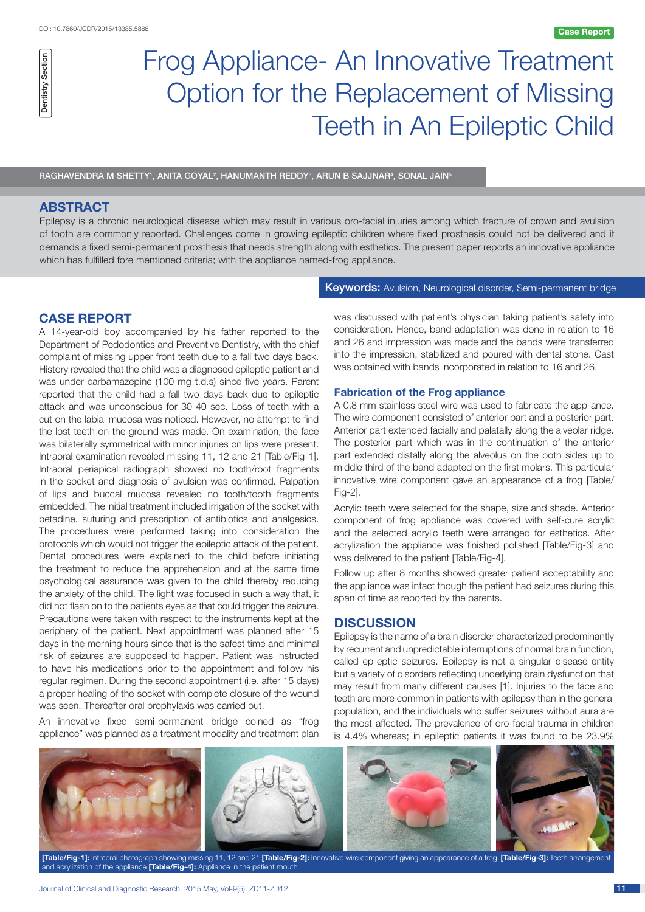

# Frog Appliance- An Innovative Treatment Option for the Replacement of Missing Teeth in An Epileptic Child

RAGHAVENDRA M SHETTY', ANITA GOYAL<sup>2</sup>, HANUMANTH REDDY<sup>3</sup>, ARUN B SAJJNAR<sup>4</sup>, SONAL JAIN<sup>5</sup>

# **ABSTRACT**

Epilepsy is a chronic neurological disease which may result in various oro-facial injuries among which fracture of crown and avulsion of tooth are commonly reported. Challenges come in growing epileptic children where fixed prosthesis could not be delivered and it demands a fixed semi-permanent prosthesis that needs strength along with esthetics. The present paper reports an innovative appliance which has fulfilled fore mentioned criteria; with the appliance named-frog appliance.

#### Keywords: Avulsion, Neurological disorder, Semi-permanent bridge

# **CASE REPORT**

A 14-year-old boy accompanied by his father reported to the Department of Pedodontics and Preventive Dentistry, with the chief complaint of missing upper front teeth due to a fall two days back. History revealed that the child was a diagnosed epileptic patient and was under carbamazepine (100 mg t.d.s) since five years. Parent reported that the child had a fall two days back due to epileptic attack and was unconscious for 30-40 sec. Loss of teeth with a cut on the labial mucosa was noticed. However, no attempt to find the lost teeth on the ground was made. On examination, the face was bilaterally symmetrical with minor injuries on lips were present. Intraoral examination revealed missing 11, 12 and 21 [Table/Fig-1]. Intraoral periapical radiograph showed no tooth/root fragments in the socket and diagnosis of avulsion was confirmed. Palpation of lips and buccal mucosa revealed no tooth/tooth fragments embedded. The initial treatment included irrigation of the socket with betadine, suturing and prescription of antibiotics and analgesics. The procedures were performed taking into consideration the protocols which would not trigger the epileptic attack of the patient. Dental procedures were explained to the child before initiating the treatment to reduce the apprehension and at the same time psychological assurance was given to the child thereby reducing the anxiety of the child. The light was focused in such a way that, it did not flash on to the patients eyes as that could trigger the seizure. Precautions were taken with respect to the instruments kept at the periphery of the patient. Next appointment was planned after 15 days in the morning hours since that is the safest time and minimal risk of seizures are supposed to happen. Patient was instructed to have his medications prior to the appointment and follow his regular regimen. During the second appointment (i.e. after 15 days) a proper healing of the socket with complete closure of the wound was seen. Thereafter oral prophylaxis was carried out.

An innovative fixed semi-permanent bridge coined as "frog appliance" was planned as a treatment modality and treatment plan was discussed with patient's physician taking patient's safety into consideration. Hence, band adaptation was done in relation to 16 and 26 and impression was made and the bands were transferred into the impression, stabilized and poured with dental stone. Cast was obtained with bands incorporated in relation to 16 and 26.

#### **Fabrication of the Frog appliance**

A 0.8 mm stainless steel wire was used to fabricate the appliance. The wire component consisted of anterior part and a posterior part. Anterior part extended facially and palatally along the alveolar ridge. The posterior part which was in the continuation of the anterior part extended distally along the alveolus on the both sides up to middle third of the band adapted on the first molars. This particular innovative wire component gave an appearance of a frog [Table/ Fig-2].

Acrylic teeth were selected for the shape, size and shade. Anterior component of frog appliance was covered with self-cure acrylic and the selected acrylic teeth were arranged for esthetics. After acrylization the appliance was finished polished [Table/Fig-3] and was delivered to the patient [Table/Fig-4].

Follow up after 8 months showed greater patient acceptability and the appliance was intact though the patient had seizures during this span of time as reported by the parents.

## **DISCUSSION**

Epilepsy is the name of a brain disorder characterized predominantly by recurrent and unpredictable interruptions of normal brain function, called epileptic seizures. Epilepsy is not a singular disease entity but a variety of disorders reflecting underlying brain dysfunction that may result from many different causes [1]. Injuries to the face and teeth are more common in patients with epilepsy than in the general population, and the individuals who suffer seizures without aura are the most affected. The prevalence of oro-facial trauma in children is 4.4% whereas; in epileptic patients it was found to be 23.9%



**[Table/Fig-1]:** Intraoral photograph showing missing 11, 12 and 21 **[Table/Fig-2]:** Innovative wire component giving an appearance of a frog **[Table/Fig-3]:** Teeth arrangement and acrylization of the appliance **[Table/Fig-4]:** Appliance in the patient mouth